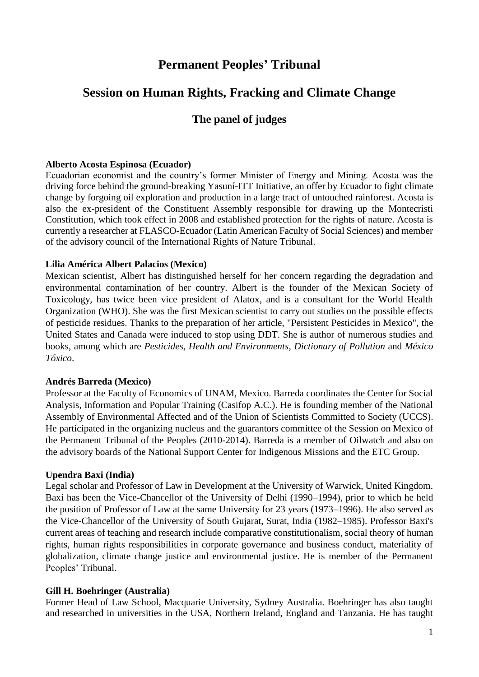# **Permanent Peoples' Tribunal**

# **Session on Human Rights, Fracking and Climate Change**

# **The panel of judges**

## **Alberto Acosta Espinosa (Ecuador)**

Ecuadorian economist and the country's former Minister of Energy and Mining. Acosta was the driving force behind the ground-breaking Yasuní-ITT Initiative, an offer by Ecuador to fight climate change by forgoing oil exploration and production in a large tract of untouched rainforest. Acosta is also the ex-president of the Constituent Assembly responsible for drawing up the Montecristi Constitution, which took effect in 2008 and established protection for the rights of nature. Acosta is currently a researcher at FLASCO-Ecuador (Latin American Faculty of Social Sciences) and member of the advisory council of the International Rights of Nature Tribunal.

## **Lilia América Albert Palacios (Mexico)**

Mexican scientist, Albert has distinguished herself for her concern regarding the degradation and environmental contamination of her country. Albert is the founder of the Mexican Society of Toxicology, has twice been vice president of Alatox, and is a consultant for the World Health Organization (WHO). She was the first Mexican scientist to carry out studies on the possible effects of pesticide residues. Thanks to the preparation of her article, "Persistent Pesticides in Mexico", the United States and Canada were induced to stop using DDT. She is author of numerous studies and books, among which are *Pesticides, Health and Environments*, *Dictionary of Pollution* and *México Tóxico*.

#### **Andrés Barreda (Mexico)**

Professor at the Faculty of Economics of UNAM, Mexico. Barreda coordinates the Center for Social Analysis, Information and Popular Training (Casifop A.C.). He is founding member of the National Assembly of Environmental Affected and of the Union of Scientists Committed to Society (UCCS). He participated in the organizing nucleus and the guarantors committee of the Session on Mexico of the Permanent Tribunal of the Peoples (2010-2014). Barreda is a member of Oilwatch and also on the advisory boards of the National Support Center for Indigenous Missions and the ETC Group.

#### **Upendra Baxi (India)**

Legal scholar and Professor of Law in Development at the University of Warwick, United Kingdom. Baxi has been the Vice-Chancellor of the University of Delhi (1990–1994), prior to which he held the position of Professor of Law at the same University for 23 years (1973–1996). He also served as the Vice-Chancellor of the University of South Gujarat, Surat, India (1982–1985). Professor Baxi's current areas of teaching and research include comparative constitutionalism, social theory of human rights, human rights responsibilities in corporate governance and business conduct, materiality of globalization, climate change justice and environmental justice. He is member of the Permanent Peoples' Tribunal.

#### **Gill H. Boehringer (Australia)**

Former Head of Law School, Macquarie University, Sydney Australia. Boehringer has also taught and researched in universities in the USA, Northern Ireland, England and Tanzania. He has taught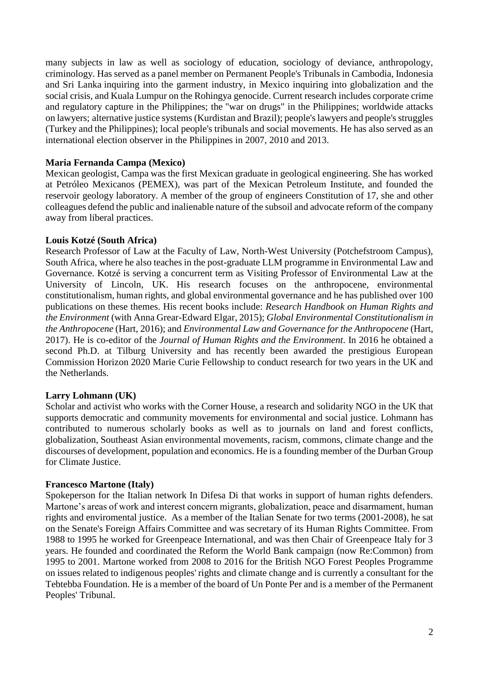many subjects in law as well as sociology of education, sociology of deviance, anthropology, criminology. Has served as a panel member on Permanent People's Tribunals in Cambodia, Indonesia and Sri Lanka inquiring into the garment industry, in Mexico inquiring into globalization and the social crisis, and Kuala Lumpur on the Rohingya genocide. Current research includes corporate crime and regulatory capture in the Philippines; the "war on drugs" in the Philippines; worldwide attacks on lawyers; alternative justice systems (Kurdistan and Brazil); people's lawyers and people's struggles (Turkey and the Philippines); local people's tribunals and social movements. He has also served as an international election observer in the Philippines in 2007, 2010 and 2013.

# **Maria Fernanda Campa (Mexico)**

Mexican geologist, Campa was the first Mexican graduate in geological engineering. She has worked at Petróleo Mexicanos (PEMEX), was part of the Mexican Petroleum Institute, and founded the reservoir geology laboratory. A member of the group of engineers Constitution of 17, she and other colleagues defend the public and inalienable nature of the subsoil and advocate reform of the company away from liberal practices.

#### **Louis Kotzé (South Africa)**

Research Professor of Law at the Faculty of Law, North-West University (Potchefstroom Campus), South Africa, where he also teaches in the post-graduate LLM programme in Environmental Law and Governance. Kotzé is serving a concurrent term as Visiting Professor of Environmental Law at the University of Lincoln, UK. His research focuses on the anthropocene, environmental constitutionalism, human rights, and global environmental governance and he has published over 100 publications on these themes. His recent books include: *Research Handbook on Human Rights and the Environment* (with Anna Grear-Edward Elgar, 2015); *Global Environmental Constitutionalism in the Anthropocene* (Hart, 2016); and *Environmental Law and Governance for the Anthropocene* (Hart, 2017). He is co-editor of the *Journal of Human Rights and the Environment*. In 2016 he obtained a second Ph.D. at Tilburg University and has recently been awarded the prestigious European Commission Horizon 2020 Marie Curie Fellowship to conduct research for two years in the UK and the Netherlands.

#### **Larry Lohmann (UK)**

Scholar and activist who works with the Corner House, a research and solidarity NGO in the UK that supports democratic and community movements for environmental and social justice. Lohmann has contributed to numerous scholarly books as well as to journals on land and forest conflicts, globalization, Southeast Asian environmental movements, racism, commons, climate change and the discourses of development, population and economics. He is a founding member of the Durban Group for Climate Justice.

#### **Francesco Martone (Italy)**

Spokeperson for the Italian network In Difesa Di that works in support of human rights defenders. Martone's areas of work and interest concern migrants, globalization, peace and disarmament, human rights and enviromental justice. As a member of the Italian Senate for two terms (2001-2008), he sat on the Senate's Foreign Affairs Committee and was secretary of its Human Rights Committee. From 1988 to 1995 he worked for Greenpeace International, and was then Chair of Greenpeace Italy for 3 years. He founded and coordinated the Reform the World Bank campaign (now Re:Common) from 1995 to 2001. Martone worked from 2008 to 2016 for the British NGO Forest Peoples Programme on issues related to indigenous peoples' rights and climate change and is currently a consultant for the Tebtebba Foundation. He is a member of the board of Un Ponte Per and is a member of the Permanent Peoples' Tribunal.